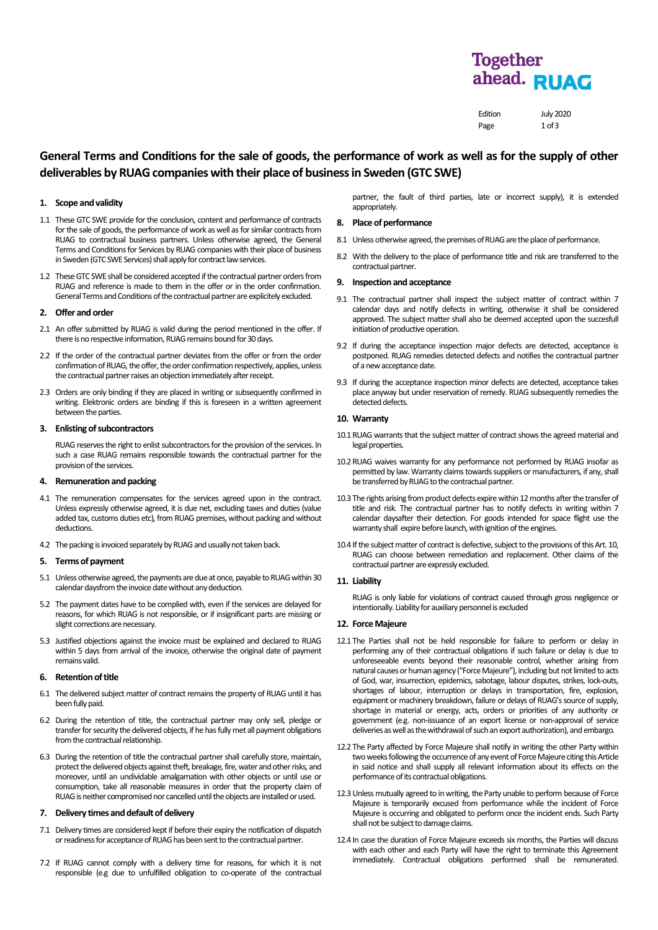# **Together** ahead. RUAG

Edition July 2020 Page 1 of 3

# **General Terms and Conditions for the sale of goods, the performance of work as well as for the supply of other deliverables by RUAGcompanies with their place of business in Sweden (GTC SWE)**

# **1. Scope and validity**

- 1.1 These GTC SWE provide for the conclusion, content and performance of contracts for the sale of goods, the performance of work as well as for similar contractsfrom RUAG to contractual business partners. Unless otherwise agreed, the General Terms and Conditions for Services by RUAG companies with their place of business in Sweden (GTC SWE Services) shall apply for contract law services
- 1.2 These GTC SWE shall be considered accepted if the contractual partner orders from RUAG and reference is made to them in the offer or in the order confirmation. General Terms and Conditions of the contractual partner are explicitely excluded.

### **2. Offer and order**

- 2.1 An offer submitted by RUAG is valid during the period mentioned in the offer. If there is no respective information, RUAG remains bound for 30 days.
- 2.2 If the order of the contractual partner deviates from the offer or from the order confirmation of RUAG, the offer, the order confirmation respectively, applies, unless the contractual partner raises an objection immediately after receipt.
- 2.3 Orders are only binding if they are placed in writing or subsequently confirmed in writing. Elektronic orders are binding if this is foreseen in a written agreement between the parties.

# **3. Enlisting of subcontractors**

RUAG reserves the right to enlist subcontractors for the provision of the services. In such a case RUAG remains responsible towards the contractual partner for the provision of the services.

### **4. Remunerationand packing**

- 4.1 The remuneration compensates for the services agreed upon in the contract. Unless expressly otherwise agreed, it is due net, excluding taxes and duties (value added tax, customs duties etc), from RUAG premises, without packing and without deductions.
- 4.2 The packing is invoiced separately by RUAG and usually not taken back.

### **5. Terms of payment**

- 5.1 Unless otherwise agreed, the payments are due at once, payable to RUAG within 30 calendar daysfrom the invoice date without any deduction.
- 5.2 The payment dates have to be complied with, even if the services are delayed for reasons, for which RUAG is not responsible, or if insignificant parts are missing or slight corrections are necessary.
- 5.3 Justified objections against the invoice must be explained and declared to RUAG within 5 days from arrival of the invoice, otherwise the original date of payment remains valid.

### **6. Retention of title**

- 6.1 The delivered subject matter of contract remains the property of RUAG until it has been fully paid.
- 6.2 During the retention of title, the contractual partner may only sell, pledge or transfer for security the delivered objects, if he has fully met all payment obligations from the contractual relationship.
- 6.3 During the retention of title the contractual partner shall carefully store, maintain, protect the delivered objects against theft, breakage, fire, water and other risks, and moreover, until an undividable amalgamation with other objects or until use or consumption, take all reasonable measures in order that the property claim of RUAG is neither compromised nor cancelled until the objects are installed or used.

#### **7. Delivery times and default of delivery**

- 7.1 Delivery times are considered kept if before their expiry the notification of dispatch or readiness for acceptance of RUAG has been sent to the contractual partner.
- 7.2 If RUAG cannot comply with a delivery time for reasons, for which it is not responsible (e.g due to unfulfilled obligation to co-operate of the contractual

partner, the fault of third parties, late or incorrect supply), it is extended appropriately.

### **8. Place of performance**

- 8.1 Unless otherwise agreed, the premises of RUAG are the place of performance.
- 8.2 With the delivery to the place of performance title and risk are transferred to the contractual partner.

# **9. Inspection and acceptance**

- 9.1 The contractual partner shall inspect the subject matter of contract within 7 calendar days and notify defects in writing, otherwise it shall be considered approved. The subject matter shall also be deemed accepted upon the succesfull initiation of productive operation.
- 9.2 If during the acceptance inspection major defects are detected, acceptance is postponed. RUAG remedies detected defects and notifies the contractual partner of a new acceptance date.
- 9.3 If during the acceptance inspection minor defects are detected, acceptance takes place anyway but under reservation of remedy. RUAG subsequently remedies the detected defects.

### **10. Warranty**

- 10.1 RUAG warrants that the subject matter of contract shows the agreed material and legal properties
- 10.2RUAG waives warranty for any performance not performed by RUAG insofar as permitted by law. Warranty claims towards suppliers or manufacturers, if any, shall be transferred by RUAG to the contractual partner.
- 10.3 The rights arising from product defects expire within 12 months after the transfer of title and risk. The contractual partner has to notify defects in writing within 7 calendar daysafter their detection. For goods intended for space flight use the warranty shall expire before launch, with ignition of the engines.
- 10.4 If the subject matter of contract is defective, subject to the provisions of this Art. 10, RUAG can choose between remediation and replacement. Other claims of the contractual partner are expressly excluded.

# **11. Liability**

RUAG is only liable for violations of contract caused through gross negligence or intentionally. Liability for auxiliary personnel is excluded

# **12. Force Majeure**

- 12.1 The Parties shall not be held responsible for failure to perform or delay in performing any of their contractual obligations if such failure or delay is due to unforeseeable events beyond their reasonable control, whether arising from natural causes or human agency ("Force Majeure"), including but not limited to acts of God, war, insurrection, epidemics, sabotage, labour disputes, strikes, lock-outs, shortages of labour, interruption or delays in transportation, fire, explosion, equipment or machinery breakdown, failure or delays of RUAG's source of supply, shortage in material or energy, acts, orders or priorities of any authority or government (e.g. non-issuance of an export license or non-approval of service deliveries as well as the withdrawal of such an export authorization), and embargo.
- 12.2 The Party affected by Force Majeure shall notify in writing the other Party within two weeks following the occurrence of any event of Force Majeure citing this Article in said notice and shall supply all relevant information about its effects on the performance of its contractual obligations.
- 12.3Unless mutually agreed to in writing, the Party unable to perform because of Force Majeure is temporarily excused from performance while the incident of Force Majeure is occurring and obligated to perform once the incident ends. Such Party shall not be subject to damage claims.
- 12.4 In case the duration of Force Majeure exceeds six months, the Parties will discuss with each other and each Party will have the right to terminate this Agreement immediately. Contractual obligations performed shall be remunerated.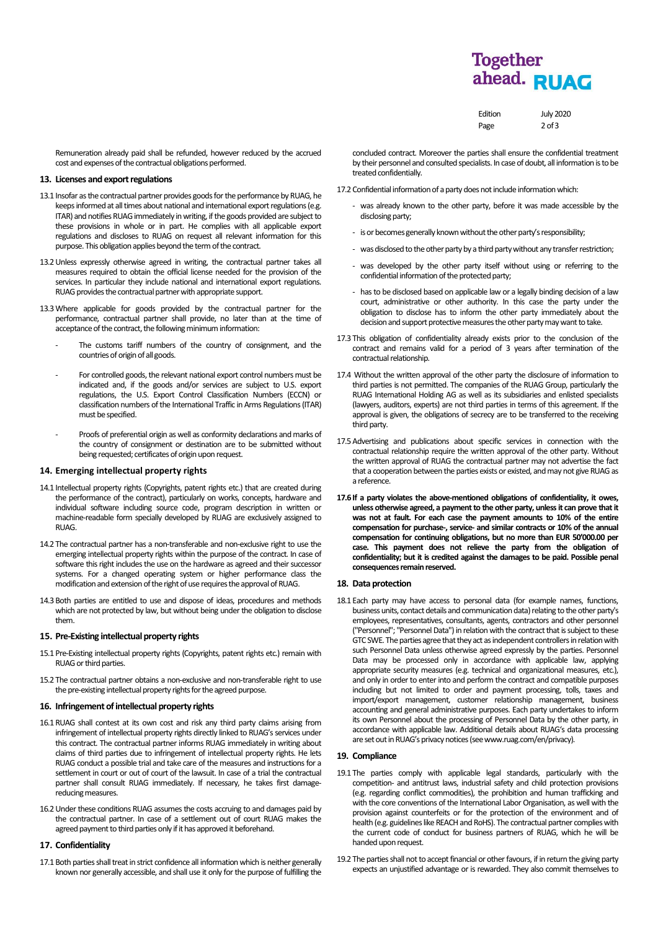# **Together** ahead. RUAG

| Edition | <b>July 2020</b> |
|---------|------------------|
| Page    | $2$ of $3$       |

Remuneration already paid shall be refunded, however reduced by the accrued cost and expenses of the contractual obligations performed.

## **13. Licenses and export regulations**

- 13.1 Insofar as the contractual partner provides goods for the performance by RUAG, he keeps informed at all times about national and international export regulations (e.g. ITAR) and notifies RUAG immediately in writing, if the goods provided are subject to these provisions in whole or in part. He complies with all applicable export regulations and discloses to RUAG on request all relevant information for this purpose. This obligation applies beyond the term of the contract.
- 13.2Unless expressly otherwise agreed in writing, the contractual partner takes all measures required to obtain the official license needed for the provision of the services. In particular they include national and international export regulations. RUAG provides the contractual partner with appropriate support.
- 13.3Where applicable for goods provided by the contractual partner for the performance, contractual partner shall provide, no later than at the time of acceptance of the contract, the following minimum information:
	- The customs tariff numbers of the country of consignment, and the countries of origin of all goods.
	- For controlled goods, the relevant national export control numbers must be indicated and, if the goods and/or services are subject to U.S. export regulations, the U.S. Export Control Classification Numbers (ECCN) or classification numbers of the International Traffic in Arms Regulations (ITAR) must be specified.
	- Proofs of preferential origin as well as conformity declarations and marks of the country of consignment or destination are to be submitted without being requested; certificates of origin upon request.

### **14. Emerging intellectual property rights**

- 14.1 Intellectual property rights (Copyrights, patent rights etc.) that are created during the performance of the contract), particularly on works, concepts, hardware and individual software including source code, program description in written or machine-readable form specially developed by RUAG are exclusively assigned to RUAG.
- 14.2 The contractual partner has a non-transferable and non-exclusive right to use the emerging intellectual property rights within the purpose of the contract. In case of software this right includes the use on the hardware as agreed and their successor systems. For a changed operating system or higher performance class the modification and extension of the right of use requires the approval of RUAG.
- 14.3Both parties are entitled to use and dispose of ideas, procedures and methods which are not protected by law, but without being under the obligation to disclose them.

### 15. Pre-Existing intellectual property rights

- 15.1 Pre-Existing intellectual property rights (Copyrights, patent rights etc.) remain with RUAG or third parties.
- 15.2 The contractual partner obtains a non-exclusive and non-transferable right to use the pre-existing intellectual property rights for the agreed purpose.

# **16. Infringement of intellectual property rights**

- 16.1RUAG shall contest at its own cost and risk any third party claims arising from infringement of intellectual property rights directly linked to RUAG's services under this contract. The contractual partner informs RUAG immediately in writing about claims of third parties due to infringement of intellectual property rights. He lets RUAG conduct a possible trial and take care of the measures and instructions for a settlement in court or out of court of the lawsuit. In case of a trial the contractual partner shall consult RUAG immediately. If necessary, he takes first damagereducing measures
- 16.2Under these conditions RUAG assumes the costs accruing to and damages paid by the contractual partner. In case of a settlement out of court RUAG makes the agreed payment to third parties only if it has approved it beforehand.

## **17. Confidentiality**

17.1 Both parties shall treat in strict confidence all information which is neither generally known nor generally accessible, and shall use it only for the purpose of fulfilling the concluded contract. Moreover the parties shall ensure the confidential treatment by their personnel and consulted specialists. In case of doubt, all information is to be treated confidentially.

- 17.2 Confidential information of a party does not include information which:
	- was already known to the other party, before it was made accessible by the disclosing party;
	- is or becomes generally known without the other party's responsibility;
	- was disclosed to the other party by a third party without any transfer restriction:
	- was developed by the other party itself without using or referring to the confidential information of the protected party;
	- has to be disclosed based on applicable law or a legally binding decision of a law court, administrative or other authority. In this case the party under the obligation to disclose has to inform the other party immediately about the decision and support protective measures the other party may want to take
- 17.3 This obligation of confidentiality already exists prior to the conclusion of the contract and remains valid for a period of 3 years after termination of the contractual relationship.
- 17.4 Without the written approval of the other party the disclosure of information to third parties is not permitted. The companies of the RUAG Group, particularly the RUAG International Holding AG as well as its subsidiaries and enlisted specialists (lawyers, auditors, experts) are not third parties in terms of this agreement. If the approval is given, the obligations of secrecy are to be transferred to the receiving third party.
- 17.5Advertising and publications about specific services in connection with the contractual relationship require the written approval of the other party. Without the written approval of RUAG the contractual partner may not advertise the fact that a cooperation between the parties exists or existed, and may not give RUAG as a reference.
- **17.6If a party violates the above-mentioned obligations of confidentiality, it owes, unless otherwise agreed, a payment to the other party, unless it can prove that it was not at fault. For each case the payment amounts to 10% of the entire compensation for purchase-, service- and similar contracts or 10% of the annual compensation for continuing obligations, but no more than EUR 50'000.00 per case. This payment does not relieve the party from the obligation of confidentiality; but it is credited against the damages to be paid. Possible penal consequences remain reserved.**

#### **18. Data protection**

18.1 Each party may have access to personal data (for example names, functions, business units, contact details and communication data) relating to the other party's employees, representatives, consultants, agents, contractors and other personnel ("Personnel"; "Personnel Data") in relation with the contract that is subject to these GTC SWE. The parties agree that they act as independent controllers in relation with such Personnel Data unless otherwise agreed expressly by the parties. Personnel Data may be processed only in accordance with applicable law, applying appropriate security measures (e.g. technical and organizational measures, etc.), and only in order to enter into and perform the contract and compatible purposes including but not limited to order and payment processing, tolls, taxes and import/export management, customer relationship management, business accounting and general administrative purposes. Each party undertakes to inform its own Personnel about the processing of Personnel Data by the other party, in accordance with applicable law. Additional details about RUAG's data processing are set out in RUAG's privacy notices (see www.ruag.com/en/privacy).

# **19. Compliance**

- 19.1 The parties comply with applicable legal standards, particularly with the competition- and antitrust laws, industrial safety and child protection provisions (e.g. regarding conflict commodities), the prohibition and human trafficking and with the core conventions of the International Labor Organisation, as well with the provision against counterfeits or for the protection of the environment and of health (e.g. guidelines like REACH and RoHS). The contractual partner complies with the current code of conduct for business partners of RUAG, which he will be handed upon request.
- 19.2 The parties shall not to accept financial or other favours, if in return the giving party expects an unjustified advantage or is rewarded. They also commit themselves to